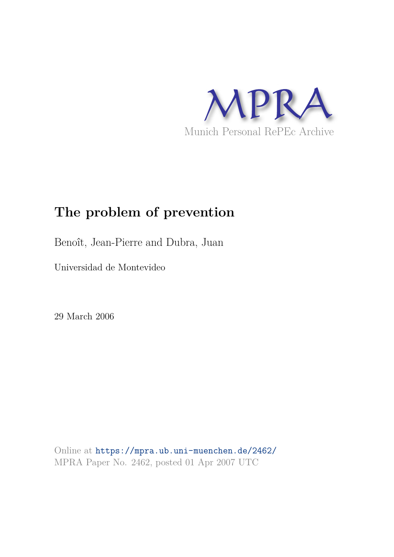

# **The problem of prevention**

Benoît, Jean-Pierre and Dubra, Juan

Universidad de Montevideo

29 March 2006

Online at https://mpra.ub.uni-muenchen.de/2462/ MPRA Paper No. 2462, posted 01 Apr 2007 UTC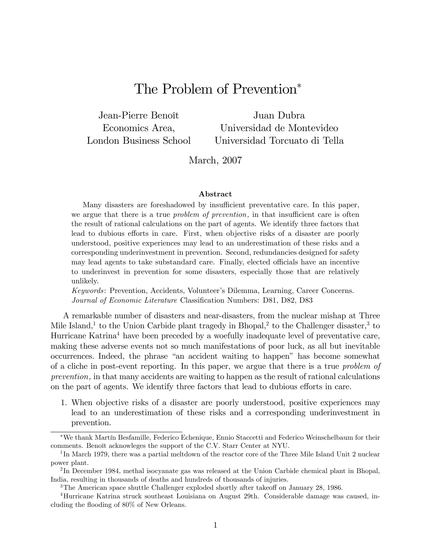## The Problem of Prevention

Jean-Pierre Benoît Economics Area, London Business School

Juan Dubra Universidad de Montevideo Universidad Torcuato di Tella

March, 2007

#### Abstract

Many disasters are foreshadowed by insufficient preventative care. In this paper, we argue that there is a true *problem of prevention*, in that insufficient care is often the result of rational calculations on the part of agents. We identify three factors that lead to dubious efforts in care. First, when objective risks of a disaster are poorly understood, positive experiences may lead to an underestimation of these risks and a corresponding underinvestment in prevention. Second, redundancies designed for safety may lead agents to take substandard care. Finally, elected officials have an incentive to underinvest in prevention for some disasters, especially those that are relatively unlikely.

Keywords: Prevention, Accidents, Volunteerís Dilemma, Learning, Career Concerns. Journal of Economic Literature Classification Numbers: D81, D82, D83

A remarkable number of disasters and near-disasters, from the nuclear mishap at Three Mile Island,<sup>1</sup> to the Union Carbide plant tragedy in Bhopal,<sup>2</sup> to the Challenger disaster,<sup>3</sup> to Hurricane Katrina<sup>4</sup> have been preceded by a woefully inadequate level of preventative care, making these adverse events not so much manifestations of poor luck, as all but inevitable occurrences. Indeed, the phrase "an accident waiting to happen" has become somewhat of a cliche in post-event reporting. In this paper, we argue that there is a true problem of prevention, in that many accidents are waiting to happen as the result of rational calculations on the part of agents. We identify three factors that lead to dubious efforts in care.

1. When objective risks of a disaster are poorly understood, positive experiences may lead to an underestimation of these risks and a corresponding underinvestment in prevention.

We thank MartÌn Besfamille, Federico Echenique, Ennio Staccetti and Federico Weinschelbaum for their comments. Benoît acknowleges the support of the C.V. Starr Center at NYU.

<sup>&</sup>lt;sup>1</sup>In March 1979, there was a partial meltdown of the reactor core of the Three Mile Island Unit 2 nuclear power plant.

<sup>&</sup>lt;sup>2</sup>In December 1984, methal isocyanate gas was released at the Union Carbide chemical plant in Bhopal, India, resulting in thousands of deaths and hundreds of thousands of injuries.

 $3$ The American space shuttle Challenger exploded shortly after takeoff on January 28, 1986.

<sup>4</sup>Hurricane Katrina struck southeast Louisiana on August 29th. Considerable damage was caused, including the flooding of 80% of New Orleans.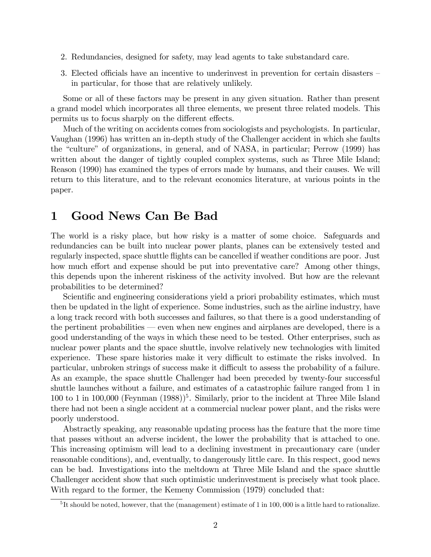- 2. Redundancies, designed for safety, may lead agents to take substandard care.
- 3. Elected officials have an incentive to underinvest in prevention for certain disasters  $\overline{\phantom{a}}$ in particular, for those that are relatively unlikely.

Some or all of these factors may be present in any given situation. Rather than present a grand model which incorporates all three elements, we present three related models. This permits us to focus sharply on the different effects.

Much of the writing on accidents comes from sociologists and psychologists. In particular, Vaughan (1996) has written an in-depth study of the Challenger accident in which she faults the "culture" of organizations, in general, and of NASA, in particular; Perrow (1999) has written about the danger of tightly coupled complex systems, such as Three Mile Island; Reason (1990) has examined the types of errors made by humans, and their causes. We will return to this literature, and to the relevant economics literature, at various points in the paper.

#### 1 Good News Can Be Bad

The world is a risky place, but how risky is a matter of some choice. Safeguards and redundancies can be built into nuclear power plants, planes can be extensively tested and regularly inspected, space shuttle flights can be cancelled if weather conditions are poor. Just how much effort and expense should be put into preventative care? Among other things, this depends upon the inherent riskiness of the activity involved. But how are the relevant probabilities to be determined?

Scientific and engineering considerations yield a priori probability estimates, which must then be updated in the light of experience. Some industries, such as the airline industry, have a long track record with both successes and failures, so that there is a good understanding of the pertinent probabilities  $\sim$  even when new engines and airplanes are developed, there is a good understanding of the ways in which these need to be tested. Other enterprises, such as nuclear power plants and the space shuttle, involve relatively new technologies with limited experience. These spare histories make it very difficult to estimate the risks involved. In particular, unbroken strings of success make it difficult to assess the probability of a failure. As an example, the space shuttle Challenger had been preceded by twenty-four successful shuttle launches without a failure, and estimates of a catastrophic failure ranged from 1 in 100 to 1 in 100,000 (Feynman  $(1988)^{5}$ . Similarly, prior to the incident at Three Mile Island there had not been a single accident at a commercial nuclear power plant, and the risks were poorly understood.

Abstractly speaking, any reasonable updating process has the feature that the more time that passes without an adverse incident, the lower the probability that is attached to one. This increasing optimism will lead to a declining investment in precautionary care (under reasonable conditions), and, eventually, to dangerously little care. In this respect, good news can be bad. Investigations into the meltdown at Three Mile Island and the space shuttle Challenger accident show that such optimistic underinvestment is precisely what took place. With regard to the former, the Kemeny Commission (1979) concluded that:

<sup>&</sup>lt;sup>5</sup>It should be noted, however, that the (management) estimate of 1 in 100,000 is a little hard to rationalize.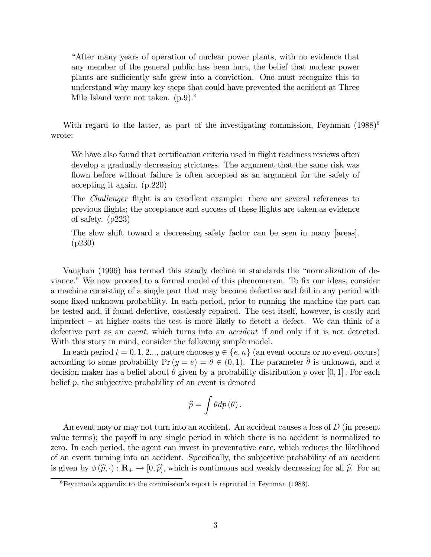ìAfter many years of operation of nuclear power plants, with no evidence that any member of the general public has been hurt, the belief that nuclear power plants are sufficiently safe grew into a conviction. One must recognize this to understand why many key steps that could have prevented the accident at Three Mile Island were not taken.  $(p.9)$ .

With regard to the latter, as part of the investigating commission, Feynman  $(1988)^6$ wrote:

We have also found that certification criteria used in flight readiness reviews often develop a gradually decreasing strictness. The argument that the same risk was flown before without failure is often accepted as an argument for the safety of accepting it again. (p.220)

The *Challenger* flight is an excellent example: there are several references to previous áights; the acceptance and success of these áights are taken as evidence of safety. (p223)

The slow shift toward a decreasing safety factor can be seen in many [areas]. (p230)

Vaughan (1996) has termed this steady decline in standards the "normalization of deviance." We now proceed to a formal model of this phenomenon. To fix our ideas, consider a machine consisting of a single part that may become defective and fail in any period with some fixed unknown probability. In each period, prior to running the machine the part can be tested and, if found defective, costlessly repaired. The test itself, however, is costly and imperfect  $-$  at higher costs the test is more likely to detect a defect. We can think of a defective part as an event, which turns into an accident if and only if it is not detected. With this story in mind, consider the following simple model.

In each period  $t = 0, 1, 2...$ , nature chooses  $y \in \{e, n\}$  (an event occurs or no event occurs) according to some probability  $Pr(y = e) = \hat{\theta} \in (0, 1)$ . The parameter  $\hat{\theta}$  is unknown, and a decision maker has a belief about  $\theta$  given by a probability distribution p over [0, 1]. For each belief  $p$ , the subjective probability of an event is denoted

$$
\widehat{p}=\int\theta dp\left( \theta\right) .
$$

An event may or may not turn into an accident. An accident causes a loss of  $D$  (in present value terms); the payoff in any single period in which there is no accident is normalized to zero. In each period, the agent can invest in preventative care, which reduces the likelihood of an event turning into an accident. Specifically, the subjective probability of an accident is given by  $\phi(\hat{p}, \cdot) : \mathbf{R}_{+} \to [0, \hat{p}],$  which is continuous and weakly decreasing for all  $\hat{p}$ . For an

 ${}^{6}$ Feynman's appendix to the commission's report is reprinted in Feynman (1988).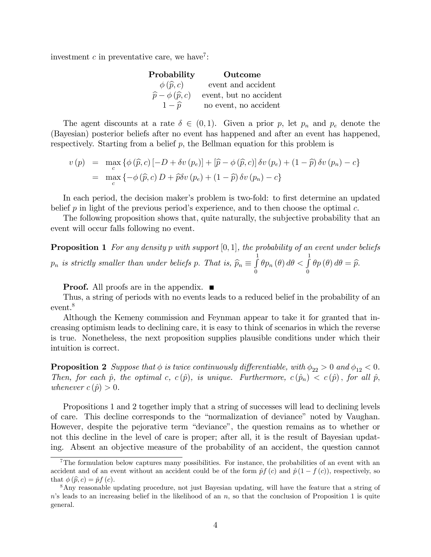investment  $c$  in preventative care, we have<sup>7</sup>:

| Probability                          | Outcome                |
|--------------------------------------|------------------------|
| $\phi(\widehat{p},c)$                | event and accident     |
| $\widehat{p} - \phi(\widehat{p}, c)$ | event, but no accident |
| $1-\hat{p}$                          | no event, no accident  |
|                                      |                        |

The agent discounts at a rate  $\delta \in (0,1)$ . Given a prior p, let  $p_n$  and  $p_e$  denote the (Bayesian) posterior beliefs after no event has happened and after an event has happened, respectively. Starting from a belief p, the Bellman equation for this problem is

$$
v(p) = \max_{c} \{ \phi(\widehat{p}, c) [-D + \delta v(p_e)] + [\widehat{p} - \phi(\widehat{p}, c)] \delta v(p_e) + (1 - \widehat{p}) \delta v(p_n) - c \}
$$
  
= 
$$
\max_{c} \{ -\phi(\widehat{p}, c) D + \widehat{p}\delta v(p_e) + (1 - \widehat{p}) \delta v(p_n) - c \}
$$

In each period, the decision maker's problem is two-fold: to first determine an updated belief p in light of the previous period's experience, and to then choose the optimal c.

The following proposition shows that, quite naturally, the subjective probability that an event will occur falls following no event.

**Proposition 1** For any density p with support  $[0, 1]$ , the probability of an event under beliefs  $p_n$  is strictly smaller than under beliefs p. That is,  $\widehat{p}_n \equiv \int_0^1$ 0  $\theta p_n\left(\theta\right)d\theta < \int_0^1$  $\int\limits_{0}^{\infty}\theta p\left(\theta\right)d\theta=\widehat{p}.$ 

**Proof.** All proofs are in the appendix.  $\blacksquare$ 

Thus, a string of periods with no events leads to a reduced belief in the probability of an event.<sup>8</sup>

Although the Kemeny commission and Feynman appear to take it for granted that increasing optimism leads to declining care, it is easy to think of scenarios in which the reverse is true. Nonetheless, the next proposition supplies plausible conditions under which their intuition is correct.

**Proposition 2** Suppose that  $\phi$  is twice continuously differentiable, with  $\phi_{22} > 0$  and  $\phi_{12} < 0$ . Then, for each  $\hat{p}$ , the optimal c,  $c (\hat{p})$ , is unique. Furthermore,  $c (\hat{p}_n) < c (\hat{p})$ , for all  $\hat{p}$ , whenever  $c(\hat{p}) > 0$ .

Propositions 1 and 2 together imply that a string of successes will lead to declining levels of care. This decline corresponds to the "normalization of deviance" noted by Vaughan. However, despite the pejorative term "deviance", the question remains as to whether or not this decline in the level of care is proper; after all, it is the result of Bayesian updating. Absent an objective measure of the probability of an accident, the question cannot

<sup>7</sup>The formulation below captures many possibilities. For instance, the probabilities of an event with an accident and of an event without an accident could be of the form  $\hat{p}f(c)$  and  $\hat{p}(1 - f(c))$ , respectively, so that  $\phi(\widehat{p}, c) = \widehat{p} f(c)$ .

<sup>8</sup>Any reasonable updating procedure, not just Bayesian updating, will have the feature that a string of  $n$ 's leads to an increasing belief in the likelihood of an  $n$ , so that the conclusion of Proposition 1 is quite general.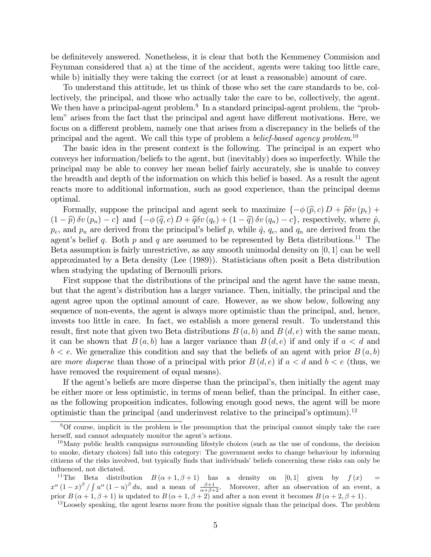be definitevely answered. Nonetheless, it is clear that both the Kemmeney Commission and Feynman considered that a) at the time of the accident, agents were taking too little care, while b) initially they were taking the correct (or at least a reasonable) amount of care.

To understand this attitude, let us think of those who set the care standards to be, collectively, the principal, and those who actually take the care to be, collectively, the agent. We then have a principal-agent problem.<sup>9</sup> In a standard principal-agent problem, the "problem" arises from the fact that the principal and agent have different motivations. Here, we focus on a different problem, namely one that arises from a discrepancy in the beliefs of the principal and the agent. We call this type of problem a *belief-based agency problem*.<sup>10</sup>

The basic idea in the present context is the following. The principal is an expert who conveys her information/beliefs to the agent, but (inevitably) does so imperfectly. While the principal may be able to convey her mean belief fairly accurately, she is unable to convey the breadth and depth of the information on which this belief is based. As a result the agent reacts more to additional information, such as good experience, than the principal deems optimal.

Formally, suppose the principal and agent seek to maximize  $\{-\phi(\widehat{p}, c) D + \widehat{p}\delta v(p_e) + \}$  $(1 - \hat{p}) \delta v (p_n) - c$  and  $\{-\phi(\hat{q}, c) D + \hat{q}\delta v (q_e) + (1 - \hat{q}) \delta v (q_n) - c\}$ , respectively, where  $\hat{p}$ ,  $p_e$ , and  $p_n$  are derived from the principal's belief p, while  $\hat{q}$ ,  $q_e$ , and  $q_n$  are derived from the agent's belief q. Both p and q are assumed to be represented by Beta distributions.<sup>11</sup> The Beta assumption is fairly unrestrictive, as any smooth unimodal density on [0; 1] can be well approximated by a Beta density (Lee (1989)). Statisticians often posit a Beta distribution when studying the updating of Bernoulli priors.

First suppose that the distributions of the principal and the agent have the same mean, but that the agent's distribution has a larger variance. Then, initially, the principal and the agent agree upon the optimal amount of care. However, as we show below, following any sequence of non-events, the agent is always more optimistic than the principal, and, hence, invests too little in care. In fact, we establish a more general result. To understand this result, first note that given two Beta distributions  $B(a, b)$  and  $B(d, e)$  with the same mean, it can be shown that  $B(a, b)$  has a larger variance than  $B(d, e)$  if and only if  $a < d$  and  $b < e$ . We generalize this condition and say that the beliefs of an agent with prior  $B(a, b)$ are more disperse than those of a principal with prior  $B(d, e)$  if  $a < d$  and  $b < e$  (thus, we have removed the requirement of equal means).

If the agent's beliefs are more disperse than the principal's, then initially the agent may be either more or less optimistic, in terms of mean belief, than the principal. In either case, as the following proposition indicates, following enough good news, the agent will be more optimistic than the principal (and underinvest relative to the principal's optimum).<sup>12</sup>

 $\overline{90f}$  course, implicit in the problem is the presumption that the principal cannot simply take the care herself, and cannot adequately monitor the agent's actions.

 $10$ Many public health campaigns surrounding lifestyle choices (such as the use of condoms, the decision to smoke, dietary choices) fall into this category: The government seeks to change behaviour by informing citizens of the risks involved, but typically finds that individuals' beliefs concerning these risks can only be influenced, not dictated.

<sup>&</sup>lt;sup>11</sup>The Beta distribution  $B(\alpha+1,\beta+1)$  has a density on [0,1] given by  $f(x) =$  $x^{\alpha}(1-x)^{\beta}/\int u^{\alpha}(1-u)^{\beta} du$ , and a mean of  $\frac{\beta+1}{\alpha+\beta+2}$ . Moreover, after an observation of an event, a prior  $B(\alpha+1,\beta+1)$  is updated to  $B(\alpha+1,\beta+2)$  and after a non event it becomes  $B(\alpha+2,\beta+1)$ .

<sup>&</sup>lt;sup>12</sup>Loosely speaking, the agent learns more from the positive signals than the principal does. The problem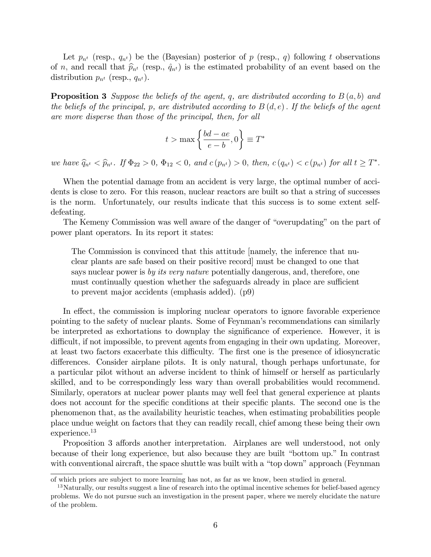Let  $p_{n^t}$  (resp.,  $q_{n^t}$ ) be the (Bayesian) posterior of p (resp., q) following t observations of n, and recall that  $\hat{p}_{n^t}$  (resp.,  $\hat{q}_{n^t}$ ) is the estimated probability of an event based on the distribution  $p_{n^t}$  (resp.,  $q_{n^t}$ ).

**Proposition 3** Suppose the beliefs of the agent, q, are distributed according to  $B(a, b)$  and the beliefs of the principal, p, are distributed according to  $B(d, e)$ . If the beliefs of the agent are more disperse than those of the principal, then, for all

$$
t > \max\left\{\frac{bd - ae}{e - b}, 0\right\} \equiv T^*
$$

we have  $\hat{q}_{n^t} < \hat{p}_{n^t}$ . If  $\Phi_{22} > 0$ ,  $\Phi_{12} < 0$ , and  $c(p_{n^t}) > 0$ , then,  $c(q_{n^t}) < c(p_{n^t})$  for all  $t \geq T^*$ .

When the potential damage from an accident is very large, the optimal number of accidents is close to zero. For this reason, nuclear reactors are built so that a string of successes is the norm. Unfortunately, our results indicate that this success is to some extent selfdefeating.

The Kemeny Commission was well aware of the danger of "overupdating" on the part of power plant operators. In its report it states:

The Commission is convinced that this attitude [namely, the inference that nuclear plants are safe based on their positive record] must be changed to one that says nuclear power is by its very nature potentially dangerous, and, therefore, one must continually question whether the safeguards already in place are sufficient to prevent major accidents (emphasis added). (p9)

In effect, the commission is imploring nuclear operators to ignore favorable experience pointing to the safety of nuclear plants. Some of Feynman's recommendations can similarly be interpreted as exhortations to downplay the significance of experience. However, it is difficult, if not impossible, to prevent agents from engaging in their own updating. Moreover, at least two factors exacerbate this difficulty. The first one is the presence of idiosyncratic differences. Consider airplane pilots. It is only natural, though perhaps unfortunate, for a particular pilot without an adverse incident to think of himself or herself as particularly skilled, and to be correspondingly less wary than overall probabilities would recommend. Similarly, operators at nuclear power plants may well feel that general experience at plants does not account for the specific conditions at their specific plants. The second one is the phenomenon that, as the availability heuristic teaches, when estimating probabilities people place undue weight on factors that they can readily recall, chief among these being their own experience.<sup>13</sup>

Proposition 3 affords another interpretation. Airplanes are well understood, not only because of their long experience, but also because they are built "bottom up." In contrast with conventional aircraft, the space shuttle was built with a "top down" approach (Feynman

of which priors are subject to more learning has not, as far as we know, been studied in general.

 $13$ Naturally, our results suggest a line of research into the optimal incentive schemes for belief-based agency problems. We do not pursue such an investigation in the present paper, where we merely elucidate the nature of the problem.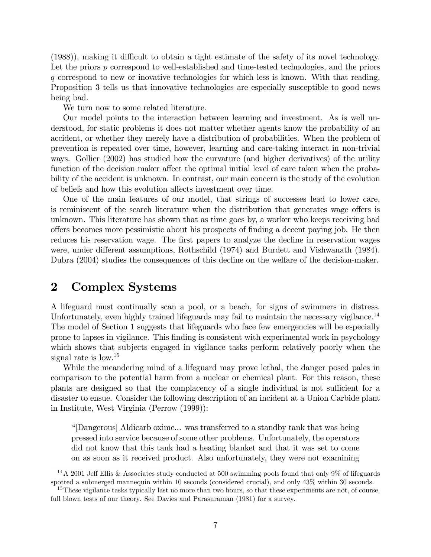$(1988)$ , making it difficult to obtain a tight estimate of the safety of its novel technology. Let the priors p correspond to well-established and time-tested technologies, and the priors q correspond to new or inovative technologies for which less is known. With that reading, Proposition 3 tells us that innovative technologies are especially susceptible to good news being bad.

We turn now to some related literature.

Our model points to the interaction between learning and investment. As is well understood, for static problems it does not matter whether agents know the probability of an accident, or whether they merely have a distribution of probabilities. When the problem of prevention is repeated over time, however, learning and care-taking interact in non-trivial ways. Gollier (2002) has studied how the curvature (and higher derivatives) of the utility function of the decision maker affect the optimal initial level of care taken when the probability of the accident is unknown. In contrast, our main concern is the study of the evolution of beliefs and how this evolution affects investment over time.

One of the main features of our model, that strings of successes lead to lower care, is reminiscent of the search literature when the distribution that generates wage offers is unknown. This literature has shown that as time goes by, a worker who keeps receiving bad o§ers becomes more pessimistic about his prospects of Önding a decent paying job. He then reduces his reservation wage. The first papers to analyze the decline in reservation wages were, under different assumptions, Rothschild (1974) and Burdett and Vishwanath (1984). Dubra (2004) studies the consequences of this decline on the welfare of the decision-maker.

#### 2 Complex Systems

A lifeguard must continually scan a pool, or a beach, for signs of swimmers in distress. Unfortunately, even highly trained lifeguards may fail to maintain the necessary vigilance.<sup>14</sup> The model of Section 1 suggests that lifeguards who face few emergencies will be especially prone to lapses in vigilance. This finding is consistent with experimental work in psychology which shows that subjects engaged in vigilance tasks perform relatively poorly when the signal rate is low.<sup>15</sup>

While the meandering mind of a lifeguard may prove lethal, the danger posed pales in comparison to the potential harm from a nuclear or chemical plant. For this reason, these plants are designed so that the complacency of a single individual is not sufficient for a disaster to ensue. Consider the following description of an incident at a Union Carbide plant in Institute, West Virginia (Perrow (1999)):

ì[Dangerous] Aldicarb oxime... was transferred to a standby tank that was being pressed into service because of some other problems. Unfortunately, the operators did not know that this tank had a heating blanket and that it was set to come on as soon as it received product. Also unfortunately, they were not examining

<sup>&</sup>lt;sup>14</sup>A 2001 Jeff Ellis & Associates study conducted at 500 swimming pools found that only 9% of lifeguards spotted a submerged mannequin within 10 seconds (considered crucial), and only 43% within 30 seconds.

<sup>&</sup>lt;sup>15</sup>These vigilance tasks typically last no more than two hours, so that these experiments are not, of course, full blown tests of our theory. See Davies and Parasuraman (1981) for a survey.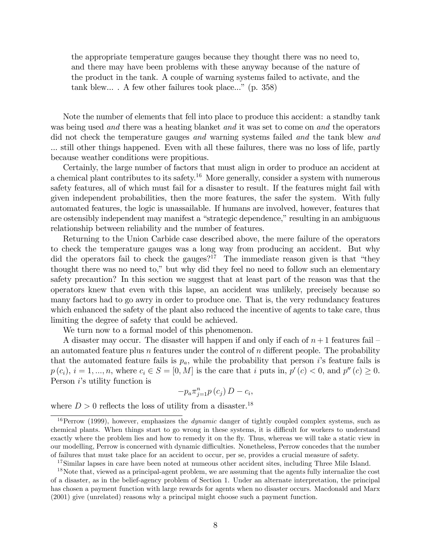the appropriate temperature gauges because they thought there was no need to, and there may have been problems with these anyway because of the nature of the product in the tank. A couple of warning systems failed to activate, and the tank blew.... A few other failures took place..." (p. 358)

Note the number of elements that fell into place to produce this accident: a standby tank was being used *and* there was a heating blanket *and* it was set to come on *and* the operators did not check the temperature gauges and warning systems failed and the tank blew and ... still other things happened. Even with all these failures, there was no loss of life, partly because weather conditions were propitious.

Certainly, the large number of factors that must align in order to produce an accident at a chemical plant contributes to its safety.<sup>16</sup> More generally, consider a system with numerous safety features, all of which must fail for a disaster to result. If the features might fail with given independent probabilities, then the more features, the safer the system. With fully automated features, the logic is unassailable. If humans are involved, however, features that are ostensibly independent may manifest a "strategic dependence," resulting in an ambiguous relationship between reliability and the number of features.

Returning to the Union Carbide case described above, the mere failure of the operators to check the temperature gauges was a long way from producing an accident. But why did the operators fail to check the gauges?<sup>17</sup> The immediate reason given is that "they thought there was no need to," but why did they feel no need to follow such an elementary safety precaution? In this section we suggest that at least part of the reason was that the operators knew that even with this lapse, an accident was unlikely, precisely because so many factors had to go awry in order to produce one. That is, the very redundancy features which enhanced the safety of the plant also reduced the incentive of agents to take care, thus limiting the degree of safety that could be achieved.

We turn now to a formal model of this phenomenon.

A disaster may occur. The disaster will happen if and only if each of  $n+1$  features fail – an automated feature plus  $n$  features under the control of  $n$  different people. The probability that the automated feature fails is  $p_a$ , while the probability that person *i*'s feature fails is  $p(c_i), i = 1, ..., n$ , where  $c_i \in S = [0, M]$  is the care that i puts in,  $p'(c) < 0$ , and  $p''(c) \ge 0$ . Person  $i$ 's utility function is

$$
-p_a \pi_{j=1}^n p(c_j) D - c_i,
$$

where  $D > 0$  reflects the loss of utility from a disaster.<sup>18</sup>

<sup>&</sup>lt;sup>16</sup>Perrow (1999), however, emphasizes the *dynamic* danger of tightly coupled complex systems, such as chemical plants. When things start to go wrong in these systems, it is difficult for workers to understand exactly where the problem lies and how to remedy it on the áy. Thus, whereas we will take a static view in our modelling, Perrow is concerned with dynamic difficulties. Nonetheless, Perrow concedes that the number of failures that must take place for an accident to occur, per se, provides a crucial measure of safety.

<sup>&</sup>lt;sup>17</sup>Similar lapses in care have been noted at numeous other accident sites, including Three Mile Island.

<sup>&</sup>lt;sup>18</sup>Note that, viewed as a principal-agent problem, we are assuming that the agents fully internalize the cost of a disaster, as in the belief-agency problem of Section 1. Under an alternate interpretation, the principal has chosen a payment function with large rewards for agents when no disaster occurs. Macdonald and Marx (2001) give (unrelated) reasons why a principal might choose such a payment function.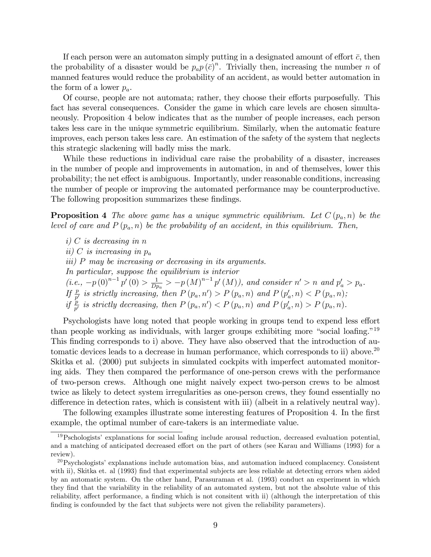If each person were an automaton simply putting in a designated amount of effort  $\bar{c}$ , then the probability of a disaster would be  $p_a p(\bar{c})^n$ . Trivially then, increasing the number n of manned features would reduce the probability of an accident, as would better automation in the form of a lower  $p_a$ .

Of course, people are not automata; rather, they choose their efforts purposefully. This fact has several consequences. Consider the game in which care levels are chosen simultaneously. Proposition 4 below indicates that as the number of people increases, each person takes less care in the unique symmetric equilibrium. Similarly, when the automatic feature improves, each person takes less care. An estimation of the safety of the system that neglects this strategic slackening will badly miss the mark.

While these reductions in individual care raise the probability of a disaster, increases in the number of people and improvements in automation, in and of themselves, lower this probability; the net effect is ambiguous. Importantly, under reasonable conditions, increasing the number of people or improving the automated performance may be counterproductive. The following proposition summarizes these findings.

**Proposition 4** The above game has a unique symmetric equilibrium. Let  $C(p_a, n)$  be the level of care and  $P(p_a, n)$  be the probability of an accident, in this equilibrium. Then,

 $i)$  C is decreasing in n ii) C is increasing in  $p_a$ iii) P may be increasing or decreasing in its arguments. In particular, suppose the equilibrium is interior  $(i.e., -p(0)^{n-1} p'(0) > \frac{1}{Dr}$  $\frac{1}{Dp_a}$  > -p(M)<sup>n-1</sup> p'(M)), and consider n' > n and p'<sub>a</sub> > p<sub>a</sub>. If  $\frac{p}{p'}$  is strictly increasing, then  $P(p_a, n') > P(p_a, n)$  and  $P(p'_a, n) < P(p_a, n)$ ; if  $\frac{p}{p'}$  is strictly decreasing, then  $P(p_a, n') < P(p_a, n)$  and  $P(p'_a, n) > P(p_a, n)$ .

Psychologists have long noted that people working in groups tend to expend less effort than people working as individuals, with larger groups exhibiting more "social loafing."<sup>19</sup> This finding corresponds to i) above. They have also observed that the introduction of automatic devices leads to a decrease in human performance, which corresponds to ii) above.<sup>20</sup> Skitka et al. (2000) put subjects in simulated cockpits with imperfect automated monitoring aids. They then compared the performance of one-person crews with the performance of two-person crews. Although one might naively expect two-person crews to be almost twice as likely to detect system irregularities as one-person crews, they found essentially no difference in detection rates, which is consistent with iii) (albeit in a relatively neutral way).

The following examples illustrate some interesting features of Proposition 4. In the first example, the optimal number of care-takers is an intermediate value.

 $19$ Pschologists' explanations for social loafing include arousal reduction, decreased evaluation potential, and a matching of anticipated decreased effort on the part of others (see Karau and Williams (1993) for a review).

 $^{20}$ Psychologists' explanations include automation bias, and automation induced complacency. Consistent with ii), Skitka et. al (1993) find that experimental subjects are less reliable at detecting errors when aided by an automatic system. On the other hand, Parasuraman et al. (1993) conduct an experiment in which they Önd that the variability in the reliability of an automated system, but not the absolute value of this reliability, affect performance, a finding which is not consitent with ii) (although the interpretation of this finding is confounded by the fact that subjects were not given the reliability parameters).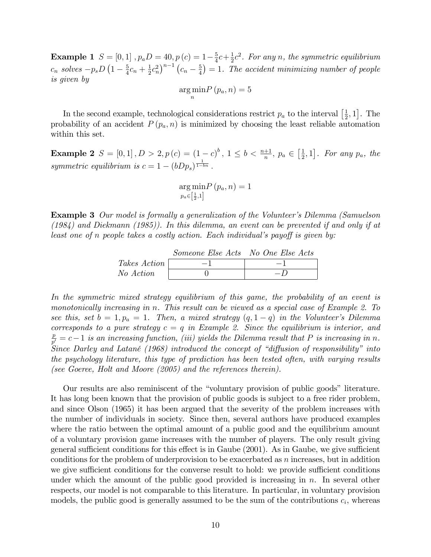**Example 1**  $S = [0,1]$  ,  $p_a D = 40, p(c) = 1-\frac{5}{4}$  $\frac{5}{4}c + \frac{1}{2}$  $\frac{1}{2}c^2$ . For any n, the symmetric equilibrium  $c_n$  solves  $-p_s D\left(1-\frac{5}{4}\right)$  $\frac{5}{4}c_n + \frac{1}{2}$  $\frac{1}{2}c_n^2\big)^{n-1}\left(c_n-\frac{5}{4}\right)$  $(\frac{5}{4}) = 1$ . The accident minimizing number of people is given by

$$
\underset{n}{\arg\min} P(p_a, n) = 5
$$

In the second example, technological considerations restrict  $p_a$  to the interval  $\left[\frac{1}{2}\right]$  $\left[\frac{1}{2},1\right]$ . The probability of an accident  $P(p_a, n)$  is minimized by choosing the least reliable automation within this set.

**Example 2**  $S = [0, 1], D > 2, p(c) = (1 - c)^b, 1 \le b < \frac{n+1}{n}, p_a \in \left[\frac{1}{2}\right]$  $\left[\frac{1}{2},1\right]$ . For any  $p_a$ , the symmetric equilibrium is  $c = 1 - (bDp_s)^{\frac{1}{1 - bn}}$ .

> arg min  $p_a \in \left[\frac{1}{2}, 1\right]$  $P(p_a, n) = 1$

**Example 3** Our model is formally a generalization of the Volunteer's Dilemma (Samuelson (1984) and Diekmann (1985)). In this dilemma, an event can be prevented if and only if at least one of n people takes a costly action. Each individual's payoff is given by:

|                     | Someone Else Acts No One Else Acts |  |
|---------------------|------------------------------------|--|
| <i>Takes Action</i> |                                    |  |
| No Action           |                                    |  |

In the symmetric mixed strategy equilibrium of this game, the probability of an event is monotonically increasing in n. This result can be viewed as a special case of Example 2. To see this, set  $b = 1, p_a = 1$ . Then, a mixed strategy  $(q, 1 - q)$  in the Volunteer's Dilemma corresponds to a pure strategy  $c = q$  in Example 2. Since the equilibrium is interior, and p  $\frac{p}{p'} = c - 1$  is an increasing function, (iii) yields the Dilemma result that P is increasing in n. Since Darley and Latané (1968) introduced the concept of "diffusion of responsibility" into the psychology literature, this type of prediction has been tested often, with varying results (see Goeree, Holt and Moore (2005) and the references therein).

Our results are also reminiscent of the "voluntary provision of public goods" literature. It has long been known that the provision of public goods is subject to a free rider problem, and since Olson (1965) it has been argued that the severity of the problem increases with the number of individuals in society. Since then, several authors have produced examples where the ratio between the optimal amount of a public good and the equilibrium amount of a voluntary provision game increases with the number of players. The only result giving general sufficient conditions for this effect is in Gaube  $(2001)$ . As in Gaube, we give sufficient conditions for the problem of underprovision to be exacerbated as  $n$  increases, but in addition we give sufficient conditions for the converse result to hold: we provide sufficient conditions under which the amount of the public good provided is increasing in  $n$ . In several other respects, our model is not comparable to this literature. In particular, in voluntary provision models, the public good is generally assumed to be the sum of the contributions  $c_i$ , whereas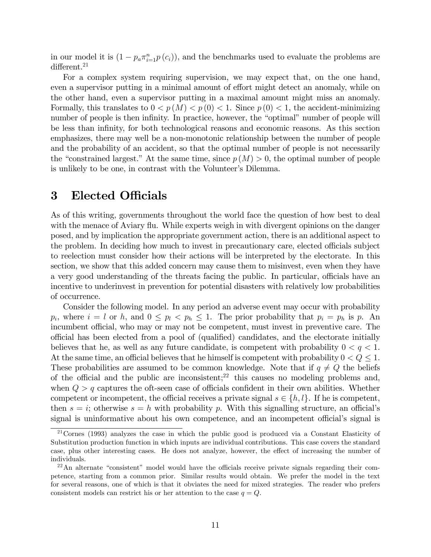in our model it is  $(1 - p_a \pi_{i=1}^n p(c_i))$ , and the benchmarks used to evaluate the problems are  $differential$ <sup>21</sup>

For a complex system requiring supervision, we may expect that, on the one hand, even a supervisor putting in a minimal amount of effort might detect an anomaly, while on the other hand, even a supervisor putting in a maximal amount might miss an anomaly. Formally, this translates to  $0 < p(M) < p(0) < 1$ . Since  $p(0) < 1$ , the accident-minimizing number of people is then infinity. In practice, however, the "optimal" number of people will be less than infinity, for both technological reasons and economic reasons. As this section emphasizes, there may well be a non-monotonic relationship between the number of people and the probability of an accident, so that the optimal number of people is not necessarily the "constrained largest." At the same time, since  $p(M) > 0$ , the optimal number of people is unlikely to be one, in contrast with the Volunteer's Dilemma.

#### 3 Elected Officials

As of this writing, governments throughout the world face the question of how best to deal with the menace of Aviary flu. While experts weigh in with divergent opinions on the danger posed, and by implication the appropriate government action, there is an additional aspect to the problem. In deciding how much to invest in precautionary care, elected officials subject to reelection must consider how their actions will be interpreted by the electorate. In this section, we show that this added concern may cause them to misinvest, even when they have a very good understanding of the threats facing the public. In particular, officials have an incentive to underinvest in prevention for potential disasters with relatively low probabilities of occurrence.

Consider the following model. In any period an adverse event may occur with probability  $p_i$ , where  $i = l$  or h, and  $0 \leq p_l \leq p_h \leq 1$ . The prior probability that  $p_i = p_h$  is p. An incumbent official, who may or may not be competent, must invest in preventive care. The official has been elected from a pool of (qualified) candidates, and the electorate initially believes that he, as well as any future candidate, is competent with probability  $0 < q < 1$ . At the same time, an official believes that he himself is competent with probability  $0 < Q \leq 1$ . These probabilities are assumed to be common knowledge. Note that if  $q \neq Q$  the beliefs of the official and the public are inconsistent;<sup>22</sup> this causes no modeling problems and. when  $Q > q$  captures the oft-seen case of officials confident in their own abilities. Whether competent or incompetent, the official receives a private signal  $s \in \{h, l\}$ . If he is competent, then  $s = i$ ; otherwise  $s = h$  with probability p. With this signalling structure, an official's signal is uninformative about his own competence, and an incompetent official's signal is

<sup>21</sup>Cornes (1993) analyzes the case in which the public good is produced via a Constant Elasticity of Substitution production function in which inputs are individual contributions. This case covers the standard case, plus other interesting cases. He does not analyze, however, the effect of increasing the number of individuals.

 $22$ An alternate "consistent" model would have the officials receive private signals regarding their competence, starting from a common prior. Similar results would obtain. We prefer the model in the text for several reasons, one of which is that it obviates the need for mixed strategies. The reader who prefers consistent models can restrict his or her attention to the case  $q = Q$ .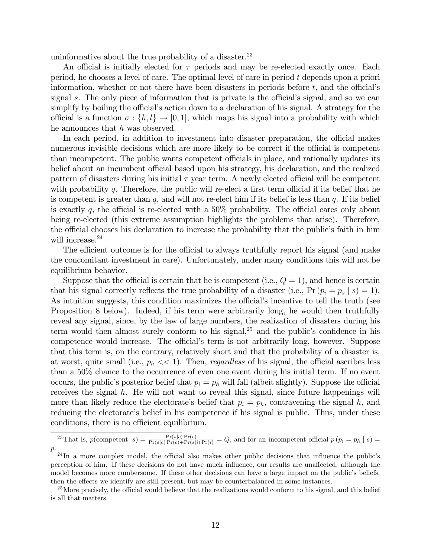uninformative about the true probability of a disaster. $^{23}$ 

An official is initially elected for  $\tau$  periods and may be re-elected exactly once. Each period, he chooses a level of care. The optimal level of care in period t depends upon a priori information, whether or not there have been disasters in periods before  $t$ , and the official's signal s. The only piece of information that is private is the official's signal, and so we can simplify by boiling the official's action down to a declaration of his signal. A strategy for the official is a function  $\sigma : \{h, l\} \to [0, 1]$ , which maps his signal into a probability with which he announces that h was observed.

In each period, in addition to investment into disaster preparation, the official makes numerous invisible decisions which are more likely to be correct if the official is competent than incompetent. The public wants competent officials in place, and rationally updates its belief about an incumbent official based upon his strategy, his declaration, and the realized pattern of disasters during his initial  $\tau$  year term. A newly elected official will be competent with probability  $q$ . Therefore, the public will re-elect a first term official if its belief that he is competent is greater than  $q$ , and will not re-elect him if its belief is less than  $q$ . If its belief is exactly q, the official is re-elected with a  $50\%$  probability. The official cares only about being re-elected (this extreme assumption highlights the problems that arise). Therefore, the official chooses his declaration to increase the probability that the public's faith in him will increase.<sup>24</sup>

The efficient outcome is for the official to always truthfully report his signal (and make the concomitant investment in care). Unfortunately, under many conditions this will not be equilibrium behavior.

Suppose that the official is certain that he is competent (i.e.,  $Q = 1$ ), and hence is certain that his signal correctly reflects the true probability of a disaster (i.e.,  $Pr (p_i = p_s | s) = 1$ ). As intuition suggests, this condition maximizes the official's incentive to tell the truth (see Proposition 8 below). Indeed, if his term were arbitrarily long, he would then truthfully reveal any signal, since, by the law of large numbers, the realization of disasters during his term would then almost surely conform to his signal, $2<sup>5</sup>$  and the public's confidence in his competence would increase. The official's term is not arbitrarily long, however. Suppose that this term is, on the contrary, relatively short and that the probability of a disaster is, at worst, quite small (i.e.,  $p_h \ll 1$ ). Then, *regardless* of his signal, the official ascribes less than a 50% chance to the occurrence of even one event during his initial term. If no event occurs, the public's posterior belief that  $p_i = p_h$  will fall (albeit slightly). Suppose the official receives the signal  $h$ . He will not want to reveal this signal, since future happenings will more than likely reduce the electorate's belief that  $p_i = p_h$ , contravening the signal h, and reducing the electorate's belief in his competence if his signal is public. Thus, under these conditions, there is no efficient equilibrium.

<sup>&</sup>lt;sup>23</sup>That is,  $p(\text{compact} | s) = \frac{\Pr(s|c) \Pr(c)}{\Pr(s|c) \Pr(c) + \Pr(s|i) \Pr(i)} = Q$ , and for an incompetent official  $p(p_i = p_h | s) =$ p.

 $24$ In a more complex model, the official also makes other public decisions that influence the public's perception of him. If these decisions do not have much influence, our results are unaffected, although the model becomes more cumbersome. If these other decisions can have a large impact on the public's beliefs, then the effects we identify are still present, but may be counterbalanced in some instances.

<sup>&</sup>lt;sup>25</sup>More precisely, the official would believe that the realizations would conform to his signal, and this belief is all that matters.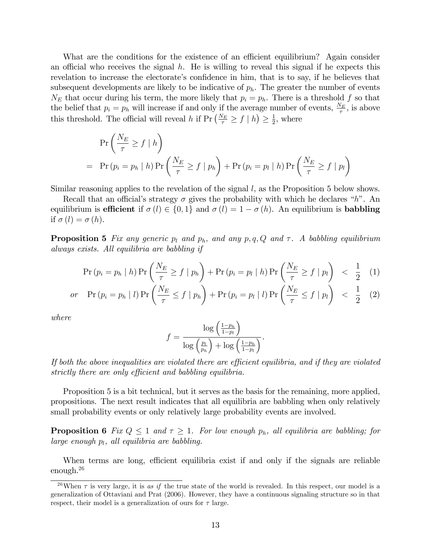What are the conditions for the existence of an efficient equilibrium? Again consider an official who receives the signal  $h$ . He is willing to reveal this signal if he expects this revelation to increase the electorate's confidence in him, that is to say, if he believes that subsequent developments are likely to be indicative of  $p<sub>h</sub>$ . The greater the number of events  $N_E$  that occur during his term, the more likely that  $p_i = p_h$ . There is a threshold f so that the belief that  $p_i = p_h$  will increase if and only if the average number of events,  $\frac{N_E}{\tau}$ , is above this threshold. The official will reveal h if  $Pr\left(\frac{N_E}{\tau} \geq f \mid h\right) \geq \frac{1}{2}$  $\frac{1}{2}$ , where

$$
\Pr\left(\frac{N_E}{\tau} \ge f \mid h\right)
$$
\n
$$
= \Pr\left(p_i = p_h \mid h\right) \Pr\left(\frac{N_E}{\tau} \ge f \mid p_h\right) + \Pr\left(p_i = p_l \mid h\right) \Pr\left(\frac{N_E}{\tau} \ge f \mid p_l\right)
$$

Similar reasoning applies to the revelation of the signal l, as the Proposition 5 below shows.

Recall that an official's strategy  $\sigma$  gives the probability with which he declares "h". An equilibrium is **efficient** if  $\sigma(l) \in \{0, 1\}$  and  $\sigma(l) = 1 - \sigma(h)$ . An equilibrium is **babbling** if  $\sigma(l) = \sigma(h)$ .

**Proposition 5** Fix any generic  $p_l$  and  $p_h$ , and any  $p, q, Q$  and  $\tau$ . A babbling equilibrium always exists. All equilibria are babbling if

$$
\Pr\left(p_i = p_h \mid h\right) \Pr\left(\frac{N_E}{\tau} \ge f \mid p_h\right) + \Pr\left(p_i = p_l \mid h\right) \Pr\left(\frac{N_E}{\tau} \ge f \mid p_l\right) < \frac{1}{2} \quad (1)
$$

$$
or \quad \Pr\left(p_i = p_h \mid l\right) \Pr\left(\frac{N_E}{\tau} \le f \mid p_h\right) + \Pr\left(p_i = p_l \mid l\right) \Pr\left(\frac{N_E}{\tau} \le f \mid p_l\right) \le \frac{1}{2} \quad (2)
$$

where

$$
f = \frac{\log\left(\frac{1-p_h}{1-p_l}\right)}{\log\left(\frac{p_l}{p_h}\right) + \log\left(\frac{1-p_h}{1-p_l}\right)}.
$$

If both the above inequalities are violated there are efficient equilibria, and if they are violated strictly there are only efficient and babbling equilibria.

Proposition 5 is a bit technical, but it serves as the basis for the remaining, more applied, propositions. The next result indicates that all equilibria are babbling when only relatively small probability events or only relatively large probability events are involved.

**Proposition 6** Fix  $Q \leq 1$  and  $\tau \geq 1$ . For low enough  $p_h$ , all equilibria are babbling; for large enough  $p_l$ , all equilibria are babbling.

When terms are long, efficient equilibria exist if and only if the signals are reliable enough.<sup>26</sup>

<sup>&</sup>lt;sup>26</sup>When  $\tau$  is very large, it is as if the true state of the world is revealed. In this respect, our model is a generalization of Ottaviani and Prat (2006). However, they have a continuous signaling structure so in that respect, their model is a generalization of ours for  $\tau$  large.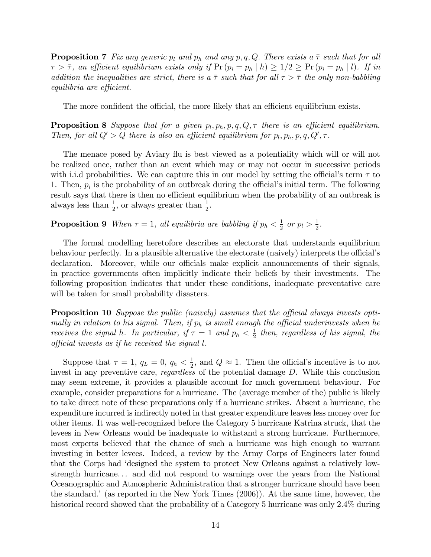**Proposition 7** Fix any generic  $p_l$  and  $p_h$  and any  $p, q, Q$ . There exists a  $\bar{\tau}$  such that for all  $\tau > \bar{\tau}$ , an efficient equilibrium exists only if  $Pr (p_i = p_h | h) \geq 1/2 \geq Pr (p_i = p_h | l)$ . If in addition the inequalities are strict, there is a  $\bar{\tau}$  such that for all  $\tau > \bar{\tau}$  the only non-babbling  $equilibria$  are efficient.

The more confident the official, the more likely that an efficient equilibrium exists.

**Proposition 8** Suppose that for a given  $p_l, p_h, p, q, Q, \tau$  there is an efficient equilibrium. Then, for all  $Q' > Q$  there is also an efficient equilibrium for  $p_l, p_h, p, q, Q', \tau$ .

The menace posed by Aviary flu is best viewed as a potentiality which will or will not be realized once, rather than an event which may or may not occur in successive periods with i.i.d probabilities. We can capture this in our model by setting the official's term  $\tau$  to 1. Then,  $p_i$  is the probability of an outbreak during the official's initial term. The following result says that there is then no efficient equilibrium when the probability of an outbreak is always less than  $\frac{1}{2}$ , or always greater than  $\frac{1}{2}$ .

**Proposition 9** When  $\tau = 1$ , all equilibria are babbling if  $p_h < \frac{1}{2}$  $rac{1}{2}$  or  $p_l > \frac{1}{2}$  $\frac{1}{2}$ .

The formal modelling heretofore describes an electorate that understands equilibrium behaviour perfectly. In a plausible alternative the electorate (naively) interprets the official's declaration. Moreover, while our officials make explicit announcements of their signals, in practice governments often implicitly indicate their beliefs by their investments. The following proposition indicates that under these conditions, inadequate preventative care will be taken for small probability disasters.

**Proposition 10** Suppose the public (naively) assumes that the official always invests optimally in relation to his signal. Then, if  $p_h$  is small enough the official underinvests when he receives the signal h. In particular, if  $\tau = 1$  and  $p_h < \frac{1}{2}$  $\frac{1}{2}$  then, regardless of his signal, the  $\alpha$  official invests as if he received the signal l.

Suppose that  $\tau = 1, q_L = 0, q_h < \frac{1}{2}$  $\frac{1}{2}$ , and  $Q \approx 1$ . Then the official's incentive is to not invest in any preventive care, regardless of the potential damage D. While this conclusion may seem extreme, it provides a plausible account for much government behaviour. For example, consider preparations for a hurricane. The (average member of the) public is likely to take direct note of these preparations only if a hurricane strikes. Absent a hurricane, the expenditure incurred is indirectly noted in that greater expenditure leaves less money over for other items. It was well-recognized before the Category 5 hurricane Katrina struck, that the levees in New Orleans would be inadequate to withstand a strong hurricane. Furthermore, most experts believed that the chance of such a hurricane was high enough to warrant investing in better levees. Indeed, a review by the Army Corps of Engineers later found that the Corps had ëdesigned the system to protect New Orleans against a relatively lowstrength hurricane. . . and did not respond to warnings over the years from the National Oceanographic and Atmospheric Administration that a stronger hurricane should have been the standard.<sup> $\prime$ </sup> (as reported in the New York Times (2006)). At the same time, however, the historical record showed that the probability of a Category 5 hurricane was only 2.4% during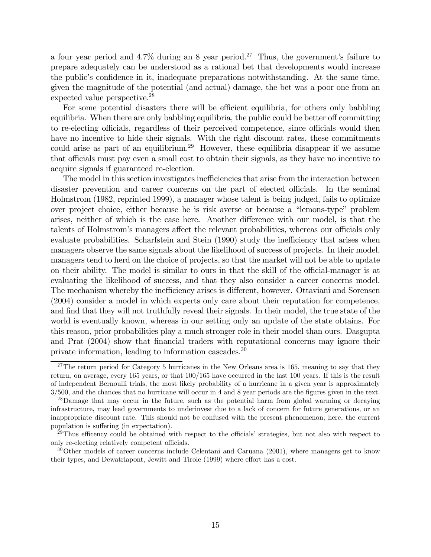a four year period and  $4.7\%$  during an 8 year period.<sup>27</sup> Thus, the government's failure to prepare adequately can be understood as a rational bet that developments would increase the public's confidence in it, inadequate preparations notwithstanding. At the same time, given the magnitude of the potential (and actual) damage, the bet was a poor one from an expected value perspective.<sup>28</sup>

For some potential disasters there will be efficient equilibria, for others only babbling equilibria. When there are only babbling equilibria, the public could be better of committing to re-electing officials, regardless of their perceived competence, since officials would then have no incentive to hide their signals. With the right discount rates, these commitments could arise as part of an equilibrium.<sup>29</sup> However, these equilibria disappear if we assume that officials must pay even a small cost to obtain their signals, as they have no incentive to acquire signals if guaranteed re-election.

The model in this section investigates inefficiencies that arise from the interaction between disaster prevention and career concerns on the part of elected officials. In the seminal Holmstrom (1982, reprinted 1999), a manager whose talent is being judged, fails to optimize over project choice, either because he is risk averse or because a "lemons-type" problem arises, neither of which is the case here. Another difference with our model, is that the talents of Holmstrom's managers affect the relevant probabilities, whereas our officials only evaluate probabilities. Scharfstein and Stein (1990) study the inefficiency that arises when managers observe the same signals about the likelihood of success of projects. In their model, managers tend to herd on the choice of projects, so that the market will not be able to update on their ability. The model is similar to ours in that the skill of the official-manager is at evaluating the likelihood of success, and that they also consider a career concerns model. The mechanism whereby the inefficiency arises is different, however. Ottaviani and Sorensen (2004) consider a model in which experts only care about their reputation for competence, and find that they will not truthfully reveal their signals. In their model, the true state of the world is eventually known, whereas in our setting only an update of the state obtains. For this reason, prior probabilities play a much stronger role in their model than ours. Dasgupta and Prat (2004) show that financial traders with reputational concerns may ignore their private information, leading to information cascades.<sup>30</sup>

 $27$ The return period for Category 5 hurricanes in the New Orleans area is 165, meaning to say that they return, on average, every 165 years, or that 100/165 have occurred in the last 100 years. If this is the result of independent Bernoulli trials, the most likely probability of a hurricane in a given year is approximately  $3/500$ , and the chances that no hurricane will occur in 4 and 8 year periods are the figures given in the text.

<sup>&</sup>lt;sup>28</sup>Damage that may occur in the future, such as the potential harm from global warming or decaying infrastructure, may lead governments to underinvest due to a lack of concern for future generations, or an inappropriate discount rate. This should not be confused with the present phenomenon; here, the current population is suffering (in expectation).

 $^{29}$ Thus efficency could be obtained with respect to the officials' strategies, but not also with respect to only re-electing relatively competent officials.

<sup>&</sup>lt;sup>30</sup>Other models of career concerns include Celentani and Caruana (2001), where managers get to know their types, and Dewatriapont, Jewitt and Tirole (1999) where effort has a cost.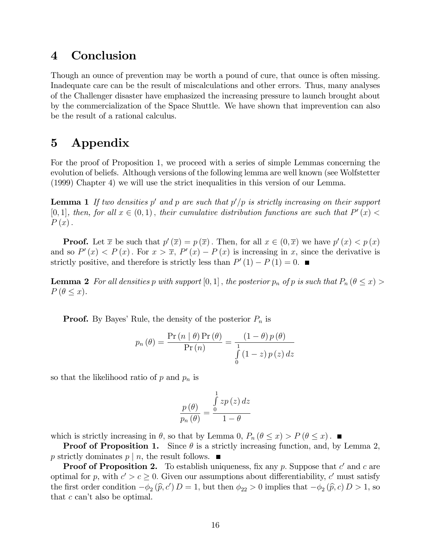#### 4 Conclusion

Though an ounce of prevention may be worth a pound of cure, that ounce is often missing. Inadequate care can be the result of miscalculations and other errors. Thus, many analyses of the Challenger disaster have emphasized the increasing pressure to launch brought about by the commercialization of the Space Shuttle. We have shown that imprevention can also be the result of a rational calculus.

### 5 Appendix

For the proof of Proposition 1, we proceed with a series of simple Lemmas concerning the evolution of beliefs. Although versions of the following lemma are well known (see Wolfstetter (1999) Chapter 4) we will use the strict inequalities in this version of our Lemma.

**Lemma 1** If two densities  $p'$  and  $p$  are such that  $p'/p$  is strictly increasing on their support [0,1], then, for all  $x \in (0,1)$ , their cumulative distribution functions are such that  $P'(x)$  $P(x)$ .

**Proof.** Let  $\bar{x}$  be such that  $p'(\bar{x}) = p(\bar{x})$ . Then, for all  $x \in (0, \bar{x})$  we have  $p'(x) < p(x)$ and so  $P'(x) < P(x)$ . For  $x > \overline{x}$ ,  $P'(x) - P(x)$  is increasing in x, since the derivative is strictly positive, and therefore is strictly less than  $P'(1) - P(1) = 0$ .

**Lemma 2** For all densities p with support  $[0,1]$ , the posterior  $p_n$  of p is such that  $P_n$  ( $\theta \leq x$ ) >  $P(\theta \leq x)$ .

**Proof.** By Bayes' Rule, the density of the posterior  $P_n$  is

$$
p_n(\theta) = \frac{\Pr(n \mid \theta) \Pr(\theta)}{\Pr(n)} = \frac{(1 - \theta) p(\theta)}{\int_{0}^{1} (1 - z) p(z) dz}
$$

so that the likelihood ratio of  $p$  and  $p_n$  is

$$
\frac{p(\theta)}{p_n(\theta)} = \frac{\int_{0}^{1} z p(z) dz}{1 - \theta}
$$

which is strictly increasing in  $\theta$ , so that by Lemma 0,  $P_n (\theta \leq x) > P (\theta \leq x)$ .

**Proof of Proposition 1.** Since  $\theta$  is a strictly increasing function, and, by Lemma 2, p strictly dominates  $p \mid n$ , the result follows.

**Proof of Proposition 2.** To establish uniqueness, fix any p. Suppose that  $c'$  and  $c$  are optimal for p, with  $c' > c \geq 0$ . Given our assumptions about differentiability, c' must satisfy the first order condition  $-\phi_2(\hat{p}, c') D = 1$ , but then  $\phi_{22} > 0$  implies that  $-\phi_2(\hat{p}, c) D > 1$ , so that  $c$  can't also be optimal.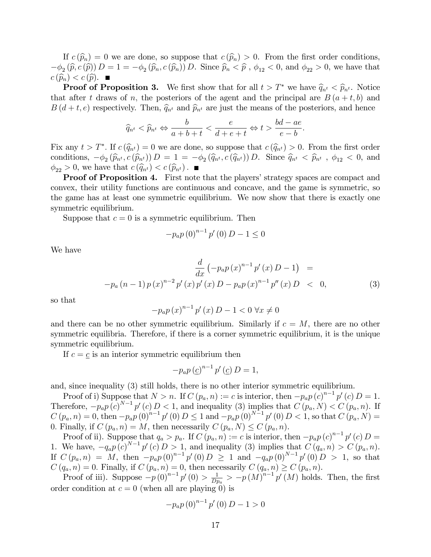If  $c(\widehat{p}_n) = 0$  we are done, so suppose that  $c(\widehat{p}_n) > 0$ . From the first order conditions,  $(-\phi_2(\widehat{p}, c(\widehat{p})) D = 1 = -\phi_2(\widehat{p}_n, c(\widehat{p}_n)) D$ . Since  $\widehat{p}_n < \widehat{p}$ ,  $\phi_{12} < 0$ , and  $\phi_{22} > 0$ , we have that  $c(\widehat{p}_n) < c(\widehat{p}).$ 

**Proof of Proposition 3.** We first show that for all  $t > T^*$  we have  $\hat{q}_{n^t} < \hat{p}_{n^t}$ . Notice that after t draws of n, the posteriors of the agent and the principal are  $B(a + t, b)$  and  $B(d+t, e)$  respectively. Then,  $\hat{q}_{n^t}$  and  $\hat{p}_{n^t}$  are just the means of the posteriors, and hence

$$
\widehat{q}_{n^t} < \widehat{p}_{n^t} \Leftrightarrow \frac{b}{a+b+t} < \frac{e}{d+e+t} \Leftrightarrow t > \frac{bd - ae}{e - b}.
$$

Fix any  $t > T^*$ . If  $c(\widehat{q}_{n^t}) = 0$  we are done, so suppose that  $c(\widehat{q}_{n^t}) > 0$ . From the first order conditions,  $-\phi_2(\widehat{p}_{n^t}, c(\widehat{p}_{n^t})) D = 1 = -\phi_2(\widehat{q}_{n^t}, c(\widehat{q}_{n^t})) D$ . Since  $\widehat{q}_{n^t} < \widehat{p}_{n^t}$ ,  $\phi_{12} < 0$ , and  $\phi_{22} > 0$ , we have that  $c(\hat{q}_{n^t}) < c(\hat{p}_{n^t})$ .

**Proof of Proposition 4.** First note that the players' strategy spaces are compact and convex, their utility functions are continuous and concave, and the game is symmetric, so the game has at least one symmetric equilibrium. We now show that there is exactly one symmetric equilibrium.

Suppose that  $c = 0$  is a symmetric equilibrium. Then

$$
-p_a p (0)^{n-1} p'(0) D - 1 \le 0
$$

We have

$$
\frac{d}{dx} \left( -p_a p(x)^{n-1} p'(x) D - 1 \right) =
$$
  
- $p_a (n-1) p(x)^{n-2} p'(x) p'(x) D - p_a p(x)^{n-1} p''(x) D < 0,$  (3)

so that

$$
-p_a p(x)^{n-1} p'(x) D - 1 < 0 \,\forall x \neq 0
$$

and there can be no other symmetric equilibrium. Similarly if  $c = M$ , there are no other symmetric equilibria. Therefore, if there is a corner symmetric equilibrium, it is the unique symmetric equilibrium.

If  $c = \underline{c}$  is an interior symmetric equilibrium then

$$
-p_a p \left(\underline{c}\right)^{n-1} p' \left(\underline{c}\right) D = 1,
$$

and, since inequality (3) still holds, there is no other interior symmetric equilibrium.

Proof of i) Suppose that  $N > n$ . If  $C(p_a, n) := c$  is interior, then  $-p_a p(c)^{n-1} p'(c) D = 1$ . Therefore,  $-p_a p(c)^{N-1} p'(c) D < 1$ , and inequality (3) implies that  $C(p_a, N) < C(p_a, n)$ . If  $C(p_a, n) = 0$ , then  $-p_a p (0)^{n-1} p'(0) D \le 1$  and  $-p_a p (0)^{N-1} p'(0) D < 1$ , so that  $C(p_a, N) =$ 0. Finally, if  $C(p_a, n) = M$ , then necessarily  $C(p_a, N) \leq C(p_a, n)$ .

Proof of ii). Suppose that  $q_a > p_a$ . If  $C(p_a, n) := c$  is interior, then  $-p_a p(c)^{n-1} p'(c) D =$ 1. We have,  $-q_a p(c)^{N-1} p'(c) D > 1$ , and inequality (3) implies that  $C(q_a, n) > C(p_a, n)$ . If  $C(p_a, n) = M$ , then  $-p_a p(0)^{n-1} p'(0) D \ge 1$  and  $-q_a p(0)^{N-1} p'(0) D > 1$ , so that  $C(q_a, n) = 0$ . Finally, if  $C(p_a, n) = 0$ , then necessarily  $C(q_a, n) \ge C(p_a, n)$ .

Proof of iii). Suppose  $-p(0)^{n-1}p'(0) > \frac{1}{D^n}$  $\frac{1}{Dp_a} > -p(M)^{n-1}p'(M)$  holds. Then, the first order condition at  $c = 0$  (when all are playing 0) is

$$
-p_a p (0)^{n-1} p'(0) D - 1 > 0
$$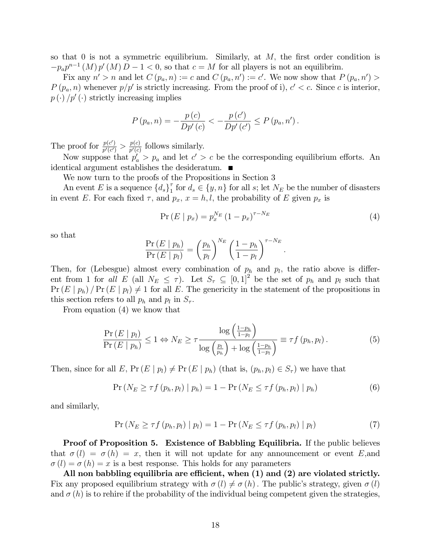so that 0 is not a symmetric equilibrium. Similarly, at  $M$ , the first order condition is  $-p_a p^{n-1}(M) p'(M) D - 1 < 0$ , so that  $c = M$  for all players is not an equilibrim.

Fix any  $n' > n$  and let  $C(p_a, n) := c$  and  $C(p_a, n') := c'$ . We now show that  $P(p_a, n') >$  $P(p_a, n)$  whenever  $p/p'$  is strictly increasing. From the proof of i),  $c' < c$ . Since c is interior,  $p(\cdot) / p'(\cdot)$  strictly increasing implies

$$
P(p_a, n) = -\frac{p(c)}{Dp'(c)} < -\frac{p(c')}{Dp'(c')} \le P(p_a, n').
$$

The proof for  $\frac{p(c')}{p'(c')}$  $\frac{p(c')}{p'(c')} > \frac{p(c)}{p'(c)}$  $\frac{p(c)}{p'(c)}$  follows similarly.

Now suppose that  $p'_a > p_a$  and let  $c' > c$  be the corresponding equilibrium efforts. An identical argument establishes the desideratum.

We now turn to the proofs of the Propositions in Section 3

An event E is a sequence  $\{d_s\}_1^{\tau}$  $\begin{bmatrix} \tau \\ 1 \end{bmatrix}$  for  $d_s \in \{y, n\}$  for all s; let  $N_E$  be the number of disasters in event E. For each fixed  $\tau$ , and  $p_x$ ,  $x = h, l$ , the probability of E given  $p_x$  is

$$
Pr(E | p_x) = p_x^{N_E} (1 - p_x)^{\tau - N_E}
$$
\n(4)

so that

$$
\frac{\Pr(E \mid p_h)}{\Pr(E \mid p_l)} = \left(\frac{p_h}{p_l}\right)^{N_E} \left(\frac{1-p_h}{1-p_l}\right)^{\tau - N_E}.
$$

Then, for (Lebesgue) almost every combination of  $p_h$  and  $p_l$ , the ratio above is different from 1 for all  $E$  (all  $N_E \leq \tau$ ). Let  $S_{\tau} \subseteq [0,1]^2$  be the set of  $p_h$  and  $p_l$  such that  $Pr(E | p_h) / Pr(E | p_l) \neq 1$  for all E. The genericity in the statement of the propositions in this section refers to all  $p_h$  and  $p_l$  in  $S_{\tau}$ .

From equation (4) we know that

$$
\frac{\Pr(E \mid p_l)}{\Pr(E \mid p_h)} \le 1 \Leftrightarrow N_E \ge \tau \frac{\log\left(\frac{1-p_h}{1-p_l}\right)}{\log\left(\frac{p_l}{p_h}\right) + \log\left(\frac{1-p_h}{1-p_l}\right)} \equiv \tau f(p_h, p_l). \tag{5}
$$

Then, since for all E,  $Pr(E | p_l) \neq Pr(E | p_h)$  (that is,  $(p_h, p_l) \in S_\tau$ ) we have that

$$
\Pr\left(N_E \geq \tau f\left(p_h, p_l\right) \mid p_h\right) = 1 - \Pr\left(N_E \leq \tau f\left(p_h, p_l\right) \mid p_h\right) \tag{6}
$$

and similarly,

$$
\Pr\left(N_E \geq \tau f\left(p_h, p_l\right) \mid p_l\right) = 1 - \Pr\left(N_E \leq \tau f\left(p_h, p_l\right) \mid p_l\right) \tag{7}
$$

**Proof of Proposition 5. Existence of Babbling Equilibria.** If the public believes that  $\sigma(l) = \sigma(h) = x$ , then it will not update for any announcement or event E, and  $\sigma(l) = \sigma(h) = x$  is a best response. This holds for any parameters

All non babbling equilibria are efficient, when  $(1)$  and  $(2)$  are violated strictly. Fix any proposed equilibrium strategy with  $\sigma(l) \neq \sigma(h)$ . The public's strategy, given  $\sigma(l)$ and  $\sigma(h)$  is to rehire if the probability of the individual being competent given the strategies,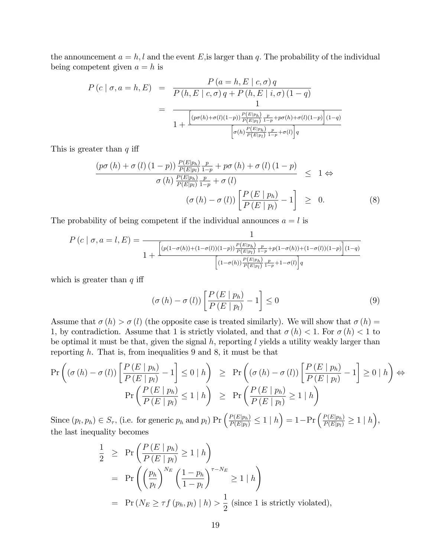the announcement  $a = h, l$  and the event E, is larger than q. The probability of the individual being competent given  $a = h$  is

$$
P(c | \sigma, a = h, E) = \frac{P(a = h, E | c, \sigma) q}{P(h, E | c, \sigma) q + P(h, E | i, \sigma) (1 - q)}
$$
  
= 
$$
\frac{1}{1 + \frac{\left[ (p\sigma(h) + \sigma(l)(1-p)) \frac{P(E|p_h)}{P(E|p_l)} \frac{p}{1-p} + p\sigma(h) + \sigma(l)(1-p) \right] (1 - q)}{\left[ \sigma(h) \frac{P(E|p_h)}{P(E|p_l)} \frac{p}{1-p} + \sigma(l) \right] q}}
$$

This is greater than  $q$  iff

$$
\frac{\left(p\sigma\left(h\right)+\sigma\left(l\right)\left(1-p\right)\right)\frac{P\left(E|p_{h}\right)}{P\left(E|p_{l}\right)}\frac{p}{1-p}+p\sigma\left(h\right)+\sigma\left(l\right)\left(1-p\right)}{\sigma\left(h\right)\frac{P\left(E|p_{h}\right)}{P\left(E|p_{l}\right)}\frac{p}{1-p}+\sigma\left(l\right)} \leq 1 \Leftrightarrow \left(\sigma\left(h\right)-\sigma\left(l\right)\right)\left[\frac{P\left(E\mid p_{h}\right)}{P\left(E\mid p_{l}\right)}-1\right] \geq 0.
$$
\n(8)

The probability of being competent if the individual announces  $a = l$  is

$$
P(c | \sigma, a = l, E) = \frac{1}{1 + \frac{\left[ (p(1 - \sigma(h)) + (1 - \sigma(l))(1 - p)) \frac{P(E|p_h)}{P(E|p_l)} \frac{p}{1 - p} + p(1 - \sigma(h)) + (1 - \sigma(l))(1 - p) \right](1 - q)}{\left[ (1 - \sigma(h)) \frac{P(E|p_h)}{P(E|p_l)} \frac{p}{1 - p} + 1 - \sigma(l) \right] q}}
$$

which is greater than  $q$  iff

$$
\left(\sigma\left(h\right)-\sigma\left(l\right)\right)\left[\frac{P\left(E\mid p_h\right)}{P\left(E\mid p_l\right)}-1\right] \leq 0\tag{9}
$$

Assume that  $\sigma(h) > \sigma(l)$  (the opposite case is treated similarly). We will show that  $\sigma(h) =$ 1, by contradiction. Assume that 1 is strictly violated, and that  $\sigma(h) < 1$ . For  $\sigma(h) < 1$  to be optimal it must be that, given the signal  $h$ , reporting  $l$  yields a utility weakly larger than reporting  $h$ . That is, from inequalities 9 and 8, it must be that

$$
\Pr\left((\sigma(h) - \sigma(l))\left[\frac{P(E \mid p_h)}{P(E \mid p_l)} - 1\right] \le 0 \mid h\right) \ge \Pr\left((\sigma(h) - \sigma(l))\left[\frac{P(E \mid p_h)}{P(E \mid p_l)} - 1\right] \ge 0 \mid h\right) \Leftrightarrow
$$
\n
$$
\Pr\left(\frac{P(E \mid p_h)}{P(E \mid p_l)} \le 1 \mid h\right) \ge \Pr\left(\frac{P(E \mid p_h)}{P(E \mid p_l)} \ge 1 \mid h\right)
$$

Since  $(p_l, p_h) \in S_{\tau}$ , (i.e. for generic  $p_h$  and  $p_l$ )  $Pr\left(\frac{P(E|p_h)}{P(E|p_l)} \leq 1 \mid h\right) = 1 - Pr\left(\frac{P(E|p_h)}{P(E|p_l)} \geq 1 \mid h\right)$ , the last inequality becomes

$$
\frac{1}{2} \ge \Pr\left(\frac{P(E \mid p_h)}{P(E \mid p_l)} \ge 1 \mid h\right)
$$
\n
$$
= \Pr\left(\left(\frac{p_h}{p_l}\right)^{N_E} \left(\frac{1-p_h}{1-p_l}\right)^{\tau - N_E} \ge 1 \mid h\right)
$$
\n
$$
= \Pr\left(N_E \ge \tau f(p_h, p_l) \mid h\right) > \frac{1}{2} \text{ (since 1 is strictly violated)},
$$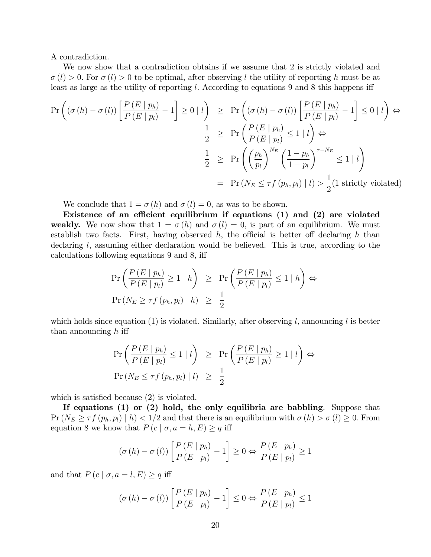A contradiction.

We now show that a contradiction obtains if we assume that 2 is strictly violated and  $\sigma(l) > 0$ . For  $\sigma(l) > 0$  to be optimal, after observing l the utility of reporting h must be at least as large as the utility of reporting l. According to equations 9 and 8 this happens iff

$$
\Pr\left((\sigma(h) - \sigma(l))\left[\frac{P(E \mid p_h)}{P(E \mid p_l)} - 1\right] \ge 0 \mid l\right) \ge \Pr\left((\sigma(h) - \sigma(l))\left[\frac{P(E \mid p_h)}{P(E \mid p_l)} - 1\right] \le 0 \mid l\right) \Leftrightarrow
$$
\n
$$
\frac{1}{2} \ge \Pr\left(\frac{P(E \mid p_h)}{P(E \mid p_l)} \le 1 \mid l\right) \Leftrightarrow
$$
\n
$$
\frac{1}{2} \ge \Pr\left(\left(\frac{p_h}{p_l}\right)^{N_E} \left(\frac{1 - p_h}{1 - p_l}\right)^{\tau - N_E} \le 1 \mid l\right)
$$
\n
$$
= \Pr\left(N_E \le \tau f(p_h, p_l) \mid l\right) > \frac{1}{2} \text{(1 strictly violated)}
$$

We conclude that  $1 = \sigma(h)$  and  $\sigma(l) = 0$ , as was to be shown.

Existence of an efficient equilibrium if equations  $(1)$  and  $(2)$  are violated weakly. We now show that  $1 = \sigma(h)$  and  $\sigma(l) = 0$ , is part of an equilibrium. We must establish two facts. First, having observed  $h$ , the official is better off declaring  $h$  than declaring  $l$ , assuming either declaration would be believed. This is true, according to the calculations following equations 9 and 8, iff

$$
\Pr\left(\frac{P(E \mid p_h)}{P(E \mid p_l)} \ge 1 \mid h\right) \ge \Pr\left(\frac{P(E \mid p_h)}{P(E \mid p_l)} \le 1 \mid h\right) \Leftrightarrow
$$
  

$$
\Pr\left(N_E \ge \tau f(p_h, p_l) \mid h\right) \ge \frac{1}{2}
$$

which holds since equation  $(1)$  is violated. Similarly, after observing l, announcing l is better than announcing  $h$  iff

$$
\Pr\left(\frac{P(E | p_h)}{P(E | p_l)} \le 1 | l\right) \ge \Pr\left(\frac{P(E | p_h)}{P(E | p_l)} \ge 1 | l\right) \Leftrightarrow
$$
  

$$
\Pr\left(N_E \le \tau f(p_h, p_l) | l\right) \ge \frac{1}{2}
$$

which is satisfied because  $(2)$  is violated.

If equations (1) or (2) hold, the only equilibria are babbling. Suppose that  $Pr(N_E \geq \tau f(p_h, p_l) \mid h) < 1/2$  and that there is an equilibrium with  $\sigma(h) > \sigma(l) \geq 0$ . From equation 8 we know that  $P(c | \sigma, a = h, E) \geq q$  iff

$$
(\sigma(h) - \sigma(l)) \left[ \frac{P(E | p_h)}{P(E | p_l)} - 1 \right] \ge 0 \Leftrightarrow \frac{P(E | p_h)}{P(E | p_l)} \ge 1
$$

and that  $P(c | \sigma, a = l, E) \geq q$  iff

$$
(\sigma(h) - \sigma(l)) \left[ \frac{P(E \mid p_h)}{P(E \mid p_l)} - 1 \right] \leq 0 \Leftrightarrow \frac{P(E \mid p_h)}{P(E \mid p_l)} \leq 1
$$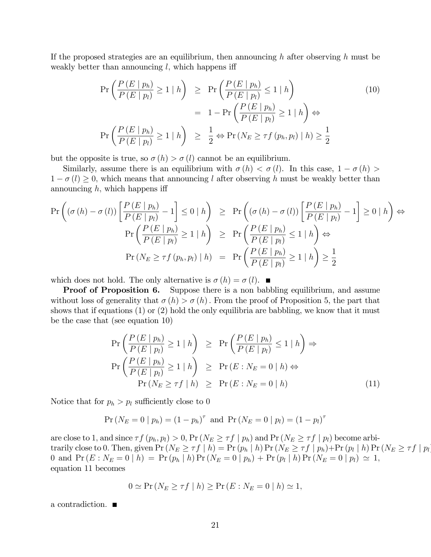If the proposed strategies are an equilibrium, then announcing h after observing h must be weakly better than announcing  $l$ , which happens iff

$$
\Pr\left(\frac{P(E \mid p_h)}{P(E \mid p_l)} \ge 1 \mid h\right) \ge \Pr\left(\frac{P(E \mid p_h)}{P(E \mid p_l)} \le 1 \mid h\right)
$$
\n
$$
= 1 - \Pr\left(\frac{P(E \mid p_h)}{P(E \mid p_l)} \ge 1 \mid h\right) \Leftrightarrow
$$
\n
$$
\Pr\left(\frac{P(E \mid p_h)}{P(E \mid p_l)} \ge 1 \mid h\right) \ge \frac{1}{2} \Leftrightarrow \Pr\left(N_E \ge \tau f(p_h, p_l) \mid h\right) \ge \frac{1}{2}
$$
\n(10)

but the opposite is true, so  $\sigma(h) > \sigma(l)$  cannot be an equilibrium.

Similarly, assume there is an equilibrium with  $\sigma(h) < \sigma(l)$ . In this case,  $1 - \sigma(h) >$  $1 - \sigma(l) \geq 0$ , which means that announcing l after observing h must be weakly better than announcing  $h$ , which happens iff

$$
\Pr\left((\sigma(h) - \sigma(l))\left[\frac{P(E \mid p_h)}{P(E \mid p_l)} - 1\right] \le 0 \mid h\right) \ge \Pr\left((\sigma(h) - \sigma(l))\left[\frac{P(E \mid p_h)}{P(E \mid p_l)} - 1\right] \ge 0 \mid h\right) \Leftrightarrow
$$
\n
$$
\Pr\left(\frac{P(E \mid p_h)}{P(E \mid p_l)} \ge 1 \mid h\right) \ge \Pr\left(\frac{P(E \mid p_h)}{P(E \mid p_l)} \le 1 \mid h\right) \Leftrightarrow
$$
\n
$$
\Pr\left(N_E \ge \tau f(p_h, p_l) \mid h\right) = \Pr\left(\frac{P(E \mid p_h)}{P(E \mid p_l)} \ge 1 \mid h\right) \ge \frac{1}{2}
$$

which does not hold. The only alternative is  $\sigma(h) = \sigma(l)$ .

**Proof of Proposition 6.** Suppose there is a non babbling equilibrium, and assume without loss of generality that  $\sigma(h) > \sigma(h)$ . From the proof of Proposition 5, the part that shows that if equations  $(1)$  or  $(2)$  hold the only equilibria are babbling, we know that it must be the case that (see equation 10)

$$
\Pr\left(\frac{P(E \mid p_h)}{P(E \mid p_l)} \ge 1 \mid h\right) \ge \Pr\left(\frac{P(E \mid p_h)}{P(E \mid p_l)} \le 1 \mid h\right) \Rightarrow
$$
\n
$$
\Pr\left(\frac{P(E \mid p_h)}{P(E \mid p_l)} \ge 1 \mid h\right) \ge \Pr(E : N_E = 0 \mid h) \Leftrightarrow
$$
\n
$$
\Pr\left(N_E \ge \tau f \mid h\right) \ge \Pr(E : N_E = 0 \mid h)
$$
\n(11)

Notice that for  $p_h > p_l$  sufficiently close to 0

$$
Pr(N_E = 0 | p_h) = (1 - p_h)^{\tau} \text{ and } Pr(N_E = 0 | p_l) = (1 - p_l)^{\tau}
$$

are close to 1, and since  $\tau f(p_h, p_l) > 0$ ,  $Pr(N_E \geq \tau f | p_h)$  and  $Pr(N_E \geq \tau f | p_l)$  become arbitrarily close to 0. Then, given  $Pr(N_E \geq \tau f \mid h) = Pr(p_h \mid h) Pr(N_E \geq \tau f \mid p_h) + Pr(p_l \mid h) Pr(N_E \geq \tau f \mid p_l)$  $0 \text{ \ and \ } \Pr \left( E : N_E = 0 \mid h \right) \, = \, \Pr \left( p_h \mid h \right) \Pr \left( N_E = 0 \mid p_h \right) \, + \, \Pr \left( p_l \mid h \right) \Pr \left( N_E = 0 \mid p_l \right) \, \simeq \, 1,$ equation 11 becomes

$$
0 \simeq \Pr\left(N_E \geq \tau f \mid h\right) \geq \Pr\left(E : N_E = 0 \mid h\right) \simeq 1,
$$

a contradiction: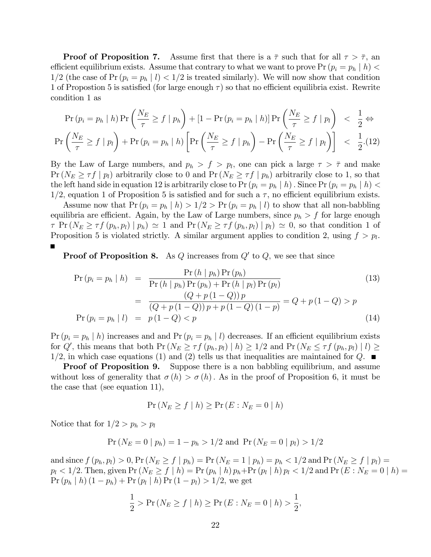**Proof of Proposition 7.** Assume first that there is a  $\bar{\tau}$  such that for all  $\tau > \bar{\tau}$ , an efficient equilibrium exists. Assume that contrary to what we want to prove Pr  $(p_i = p_h \mid h)$  <  $1/2$  (the case of Pr  $(p_i = p_h \mid l) < 1/2$  is treated similarly). We will now show that condition 1 of Propostion 5 is satisfied (for large enough  $\tau$ ) so that no efficient equilibria exist. Rewrite condition 1 as

$$
\Pr(p_i = p_h | h) \Pr\left(\frac{N_E}{\tau} \ge f | p_h\right) + [1 - \Pr(p_i = p_h | h)] \Pr\left(\frac{N_E}{\tau} \ge f | p_l\right) < \frac{1}{2} \Leftrightarrow
$$
\n
$$
\Pr\left(\frac{N_E}{\tau} \ge f | p_l\right) + \Pr(p_i = p_h | h) \left[\Pr\left(\frac{N_E}{\tau} \ge f | p_h\right) - \Pr\left(\frac{N_E}{\tau} \ge f | p_l\right)\right] < \frac{1}{2}. \tag{12}
$$

By the Law of Large numbers, and  $p_h > f > p_l$ , one can pick a large  $\tau > \overline{\tau}$  and make  $Pr(N_E \geq \tau f | p_i)$  arbitrarily close to 0 and  $Pr(N_E \geq \tau f | p_i)$  arbitrarily close to 1, so that the left hand side in equation 12 is arbitrarily close to Pr  $(p_i = p_h | h)$ . Since Pr  $(p_i = p_h | h)$  $1/2$ , equation 1 of Proposition 5 is satisfied and for such a  $\tau$ , no efficient equilibrium exists.

Assume now that  $Pr (p_i = p_h | h) > 1/2 > Pr (p_i = p_h | l)$  to show that all non-babbling equilibria are efficient. Again, by the Law of Large numbers, since  $p_h > f$  for large enough  $\tau$  Pr  $(N_E \geq \tau f(p_h, p_l) | p_h) \simeq 1$  and Pr  $(N_E \geq \tau f(p_h, p_l) | p_l) \simeq 0$ , so that condition 1 of Proposition 5 is violated strictly. A similar argument applies to condition 2, using  $f > p_l$ .

**Proof of Proposition 8.** As Q increases from  $Q'$  to  $Q$ , we see that since

$$
Pr (p_i = p_h | h) = \frac{Pr (h | p_h) Pr (p_h)}{Pr (h | p_h) Pr (p_h) + Pr (h | p_l) Pr (p_l)}
$$
\n
$$
= \frac{(Q + p(1 - Q)) p}{(Q + p(1 - Q)) p + p(1 - Q)(1 - p)} = Q + p(1 - Q) > p
$$
\n
$$
Pr (p_i = p_h | l) = p(1 - Q) < p
$$
\n(14)

 $Pr (p_i = p_h | h)$  increases and and  $Pr (p_i = p_h | l)$  decreases. If an efficient equilibrium exists for  $Q'$ , this means that both  $Pr(N_E \ge \tau f(p_h, p_l) | h) \ge 1/2$  and  $Pr(N_E \le \tau f(p_h, p_l) | l) \ge$  $1/2$ , in which case equations (1) and (2) tells us that inequalities are maintained for Q.  $\blacksquare$ 

**Proof of Proposition 9.** Suppose there is a non babbling equilibrium, and assume without loss of generality that  $\sigma(h) > \sigma(h)$ . As in the proof of Proposition 6, it must be the case that (see equation 11),

$$
\Pr\left(N_E \ge f \mid h\right) \ge \Pr\left(E : N_E = 0 \mid h\right)
$$

Notice that for  $1/2 > p_h > p_l$ 

$$
Pr(N_E = 0 | p_h) = 1 - p_h > 1/2 \text{ and } Pr(N_E = 0 | p_l) > 1/2
$$

and since  $f(p_h, p_l) > 0$ ,  $Pr(N_E \ge f | p_h) = Pr(N_E = 1 | p_h) = p_h < 1/2$  and  $Pr(N_E \ge f | p_l) =$  $p_l < 1/2$ . Then, given  $\Pr\left(N_E \geq f \mid h\right) = \Pr\left(p_h \mid h\right) p_h + \Pr\left(p_l \mid h\right) p_l < 1/2$  and  $\Pr\left(E: N_E = 0 \mid h\right) = 1/2$  $Pr(p_h | h) (1 - p_h) + Pr(p_l | h) Pr(1 - p_l) > 1/2$ , we get

$$
\frac{1}{2} > \Pr(N_E \ge f \mid h) \ge \Pr(E : N_E = 0 \mid h) > \frac{1}{2},
$$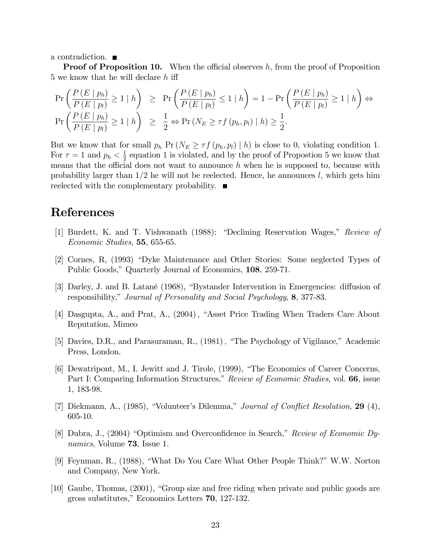a contradiction.  $\blacksquare$ 

**Proof of Proposition 10.** When the official observes  $h$ , from the proof of Proposition 5 we know that he will declare  $h$  iff

$$
\Pr\left(\frac{P(E | p_h)}{P(E | p_l)} \ge 1 | h\right) \ge \Pr\left(\frac{P(E | p_h)}{P(E | p_l)} \le 1 | h\right) = 1 - \Pr\left(\frac{P(E | p_h)}{P(E | p_l)} \ge 1 | h\right) \Leftrightarrow
$$
\n
$$
\Pr\left(\frac{P(E | p_h)}{P(E | p_l)} \ge 1 | h\right) \ge \frac{1}{2} \Leftrightarrow \Pr\left(N_E \ge \tau f(p_h, p_l) | h\right) \ge \frac{1}{2}.
$$

But we know that for small  $p_h \Pr(N_E \geq \tau f(p_h, p_l) | h)$  is close to 0, violating condition 1. For  $\tau = 1$  and  $p_h < \frac{1}{2}$  $\frac{1}{2}$  equation 1 is violated, and by the proof of Propostion 5 we know that means that the official does not want to announce  $h$  when he is supposed to, because with probability larger than  $1/2$  he will not be reelected. Hence, he announces l, which gets him reelected with the complementary probability.

#### References

- [1] Burdett, K. and T. Vishwanath (1988): "Declining Reservation Wages," Review of Economic Studies, 55, 655-65.
- [2] Cornes, R, (1993) "Dyke Maintenance and Other Stories: Some neglected Types of Public Goods," Quarterly Journal of Economics, 108, 259-71.
- [3] Darley, J. and B. Latané (1968), "Bystander Intervention in Emergencies: diffusion of responsibility," Journal of Personality and Social Psychology, 8, 377-83.
- [4] Dasgupta, A., and Prat, A., (2004), "Asset Price Trading When Traders Care About Reputation, Mimeo
- [5] Davies, D.R., and Parasuraman, R., (1981), "The Psychology of Vigilance," Academic Press, London.
- [6] Dewatripont, M., I. Jewitt and J. Tirole, (1999), "The Economics of Career Concerns, Part I: Comparing Information Structures," Review of Economic Studies, vol. 66, issue 1, 183-98.
- [7] Diekmann, A., (1985), "Volunteer's Dilemma," Journal of Conflict Resolution,  $29$  (4), 605-10.
- [8] Dubra, J.,  $(2004)$  "Optimism and Overconfidence in Search," Review of Economic Dynamics, Volume **73**, Issue 1.
- [9] Feynman, R., (1988), "What Do You Care What Other People Think?" W.W. Norton and Company, New York.
- $[10]$  Gaube, Thomas,  $(2001)$ , "Group size and free riding when private and public goods are gross substitutes,î Economics Letters 70, 127-132.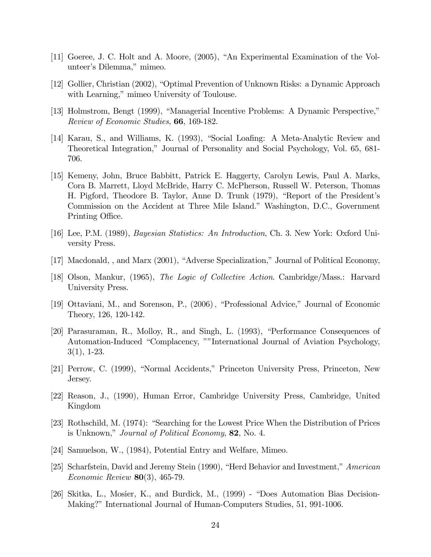- [11] Goeree, J. C. Holt and A. Moore,  $(2005)$ , "An Experimental Examination of the Volunteer's Dilemma," mimeo.
- [12] Gollier, Christian (2002), "Optimal Prevention of Unknown Risks: a Dynamic Approach with Learning," mimeo University of Toulouse.
- [13] Holmstrom, Bengt (1999), "Managerial Incentive Problems: A Dynamic Perspective," Review of Economic Studies, 66, 169-182.
- [14] Karau, S., and Williams, K. (1993), "Social Loafing: A Meta-Analytic Review and Theoretical Integration,î Journal of Personality and Social Psychology, Vol. 65, 681- 706.
- [15] Kemeny, John, Bruce Babbitt, Patrick E. Haggerty, Carolyn Lewis, Paul A. Marks, Cora B. Marrett, Lloyd McBride, Harry C. McPherson, Russell W. Peterson, Thomas H. Pigford, Theodore B. Taylor, Anne D. Trunk (1979), "Report of the President's Commission on the Accident at Three Mile Island.î Washington, D.C., Government Printing Office.
- [16] Lee, P.M. (1989), Bayesian Statistics: An Introduction, Ch. 3. New York: Oxford University Press.
- [17] Macdonald, , and Marx (2001), "Adverse Specialization," Journal of Political Economy,
- [18] Olson, Mankur, (1965), The Logic of Collective Action. Cambridge/Mass.: Harvard University Press.
- [19] Ottaviani, M., and Sorenson, P., (2006), "Professional Advice," Journal of Economic Theory, 126, 120-142.
- [20] Parasuraman, R., Molloy, R., and Singh, L. (1993), "Performance Consequences of Automation-Induced "Complacency, ""International Journal of Aviation Psychology, 3(1), 1-23.
- [21] Perrow, C. (1999), "Normal Accidents," Princeton University Press, Princeton, New Jersey.
- [22] Reason, J., (1990), Human Error, Cambridge University Press, Cambridge, United Kingdom
- [23] Rothschild, M. (1974): "Searching for the Lowest Price When the Distribution of Prices is Unknown," *Journal of Political Economy*, 82, No. 4.
- [24] Samuelson, W., (1984), Potential Entry and Welfare, Mimeo.
- [25] Scharfstein, David and Jeremy Stein (1990), "Herd Behavior and Investment," American Economic Review 80(3), 465-79.
- [26] Skitka, L., Mosier, K., and Burdick, M.,  $(1999)$  "Does Automation Bias Decision-Making?î International Journal of Human-Computers Studies, 51, 991-1006.